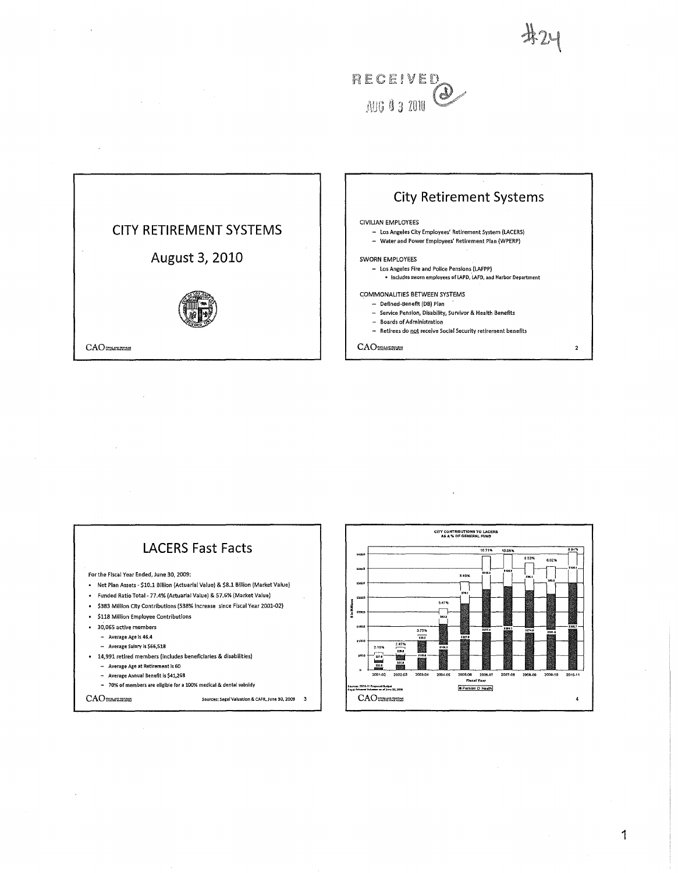





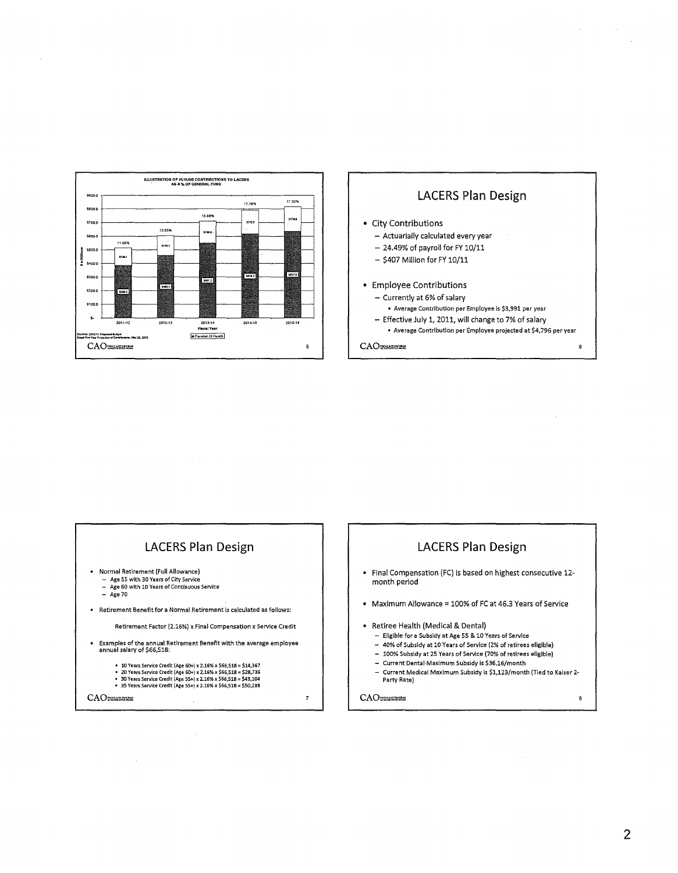



 $\Delta \sim 10^4$ 

 $\sim$   $\sim$ 

### LACERS Plan Design

- Normal Retirement (Full Allowance)
- Age 55 with 30 Years of City Service Age 60 with 10 Years of Continuous Service
- $-$  Age 70
- Retirement Benefit for a Normal Retirement is calculated as follows:

Retirement Factor (2.16%) x Final Compensation x Service Credit

- Examples of the annual Retirement Benefit with the average employee annual salary of \$66,518:
	- 10 Years Service Credit (Age 60+) x 2.16% x \$66,518 = \$14,367<br>• 20 Years Service Credit (Age 60+) x 2.16% x \$66,518 = \$28,736<br>• 30 Years Service Credit (Age 55+) x 2.16% x \$66,518 = \$43,104<br>• 35 Years Service Credit (Age
	-
	-

CAO

# LACERS Plan Design

- Final Compensation (FC) is based on highest consecutive 12 month period
- Maximum Allowance = 100% of FC at 46.3 Years of Service

#### • Retiree Health (Medical & Dental)

- Eligible for a Subsidy at Age 55 & 10 Years of Service
- 40% of Subsidy at 10 Years of Service 12% of retirees eligible)
- 100% Subsidy at 25 Years of Service (70% of retirees eligible)
- Current Dentai·Maximum Subsidy is \$36.16/month
- Current Medical Maximum Subsidy is \$1,123/month (Tied to Kaiser 2- Party Rate)

CAO

 $\overline{7}$ 

 $\bf{8}$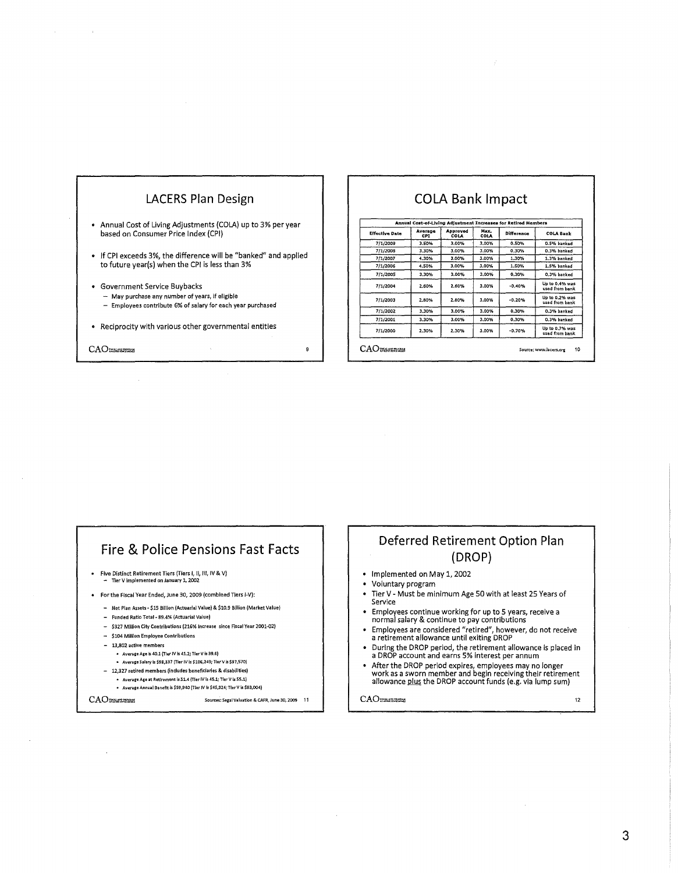

## COLA Bank Impact

| <b>Effective Date</b> | Average<br>CPI | Approved<br>COLA | Max.<br>COLA | Difference | <b>COLA Bank</b>                 |
|-----------------------|----------------|------------------|--------------|------------|----------------------------------|
| 7/1/2009              | 3.50%          | 3.00%            | 3.00%        | 0.50%      | 0.5% banked                      |
| 7/1/2008              | 3.30%          | 3.00%            | 3.00%        | 0.30%      | 0.3% banked                      |
| 7/1/2007              | 4.30%          | 3.00%            | 3.00%        | 1.30%      | 1.3% banked                      |
| 7/1/2006              | 4.50%          | 3.00%            | 3.00%        | 1.50%      | 1.5% banked                      |
| 7/1/2005              | 3.30%          | 3.00%            | 3.00%        | 0.30%      | 0.3% banked                      |
| 7/1/2004              | 2.60%          | 2.60%            | 3.00%        | $-0.40%$   | Up to 0.4% was<br>used from bank |
| 7/1/2003              | 2.80%          | 2.80%            | 3.00%        | $-0.20%$   | Up to 0.2% was<br>used from bank |
| 7/1/2002              | 3.30%          | 3.00%            | 3.00%        | 0.30%      | 0.3% banked                      |
| 7/1/2001              | 3.30%          | 3.00%            | 3.00%        | 0.30%      | 0.3% banked                      |
| 7/1/2000              | 2.30%          | 2.30%            | 3.00%        | $-0.70%$   | Up to 0.7% was<br>used from bank |

### Fire & Police Pensions Fast Facts

- Five Distinct Retirement Tiers (Tiers I, tl, Ill, IV & V) Tler V implemented on January 1, 2002
- For the Fiscal Year Ended, June 30, 2009 (combined Tiers 1-V):
- Net Plan Assets- \$15 Billion (Actuarial Value) & \$10,9 Billion (Market Value)
- Funded Ratio Total· 89.4% (Actuarial Value)
- \$327 Million City Contributions (216% Increase since Fiscal Year 2001..02)
- \$104 Million Employee Contributions
- 13,802 active members
	- Average Age is 40.1 (Tier IV is 41.2; Tier V is 39.6)
	- Avenge Salary is \$98,337 (Tier IV is \$105,243; Tier Vis \$97,570)
- 12,327 retired members {in dudes beneficiaries & disabilities)
- Averare Ate at Retirement ts S1.4(Tier IV Is 45.1; Tier V Is 55.1)

Sources: Segal Valuation & CAFR, June 30, 2009 11

• Average Annual Benefrt *is* \$59,940 (Tier IV Is \$45,324;TferV Is \$83,004)

CAO

Deferred Retirement Option Plan (DROP)

- Implemented on May 1, 2002
- Voluntary program
- Tier V- Must be minimum Age 50 with at least 25 Years of Service
- Employees continue working for up to 5 years, receive a normal salary & continue to pay contributions
- Employees are considered "retired", however, do not receive a retirement allowance until exiting DROP
- During the DROP period, the retirement allowance is placed in a DROP account and earns 5% interest per annum
- After the DROP period expires, employees may no longer<br>work as a sworn member and begin receiving their retirement<br>allowance <u>plus</u> the DROP account funds (e.g. via lump sum)

CAO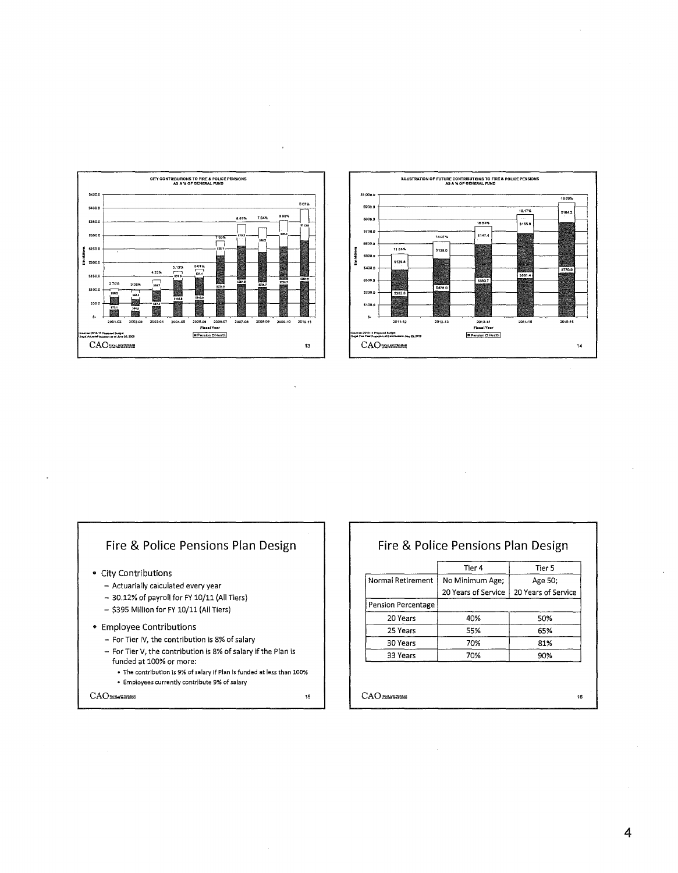

 $\ddot{\phantom{0}}$ 



### Fire & Police Pensions Plan Design

- City Contributions
	- Actuarially calculated every year
	- 30.12% of payroll for FY 10/11 (All Tiers)
	- \$395 Million for FY 10/11 (All Tiers)
- Employee Contributions
	- For Tier IV, the contribution is 8% of salary
	- $-$  For Tier V, the contribution is 8% of salary if the Plan is funded at 100% or more:
		- The contribution is 9% of salary if Plan is funded at less than 100%
		- · Employees currently contribute 9% of salary

**CAO** 

Fire & Police Pensions Plan Design

| No Minimum Age;<br>Age 50;<br>20 Years of Service<br>20 Years of Service |
|--------------------------------------------------------------------------|
|                                                                          |
|                                                                          |
|                                                                          |
| 40%<br>50%                                                               |
| 55%<br>65%                                                               |
| 70%<br>81%                                                               |
| 70%<br>90%                                                               |
|                                                                          |

CAO

 $15$ 

 $\bar{z}$ 

 $\overline{4}$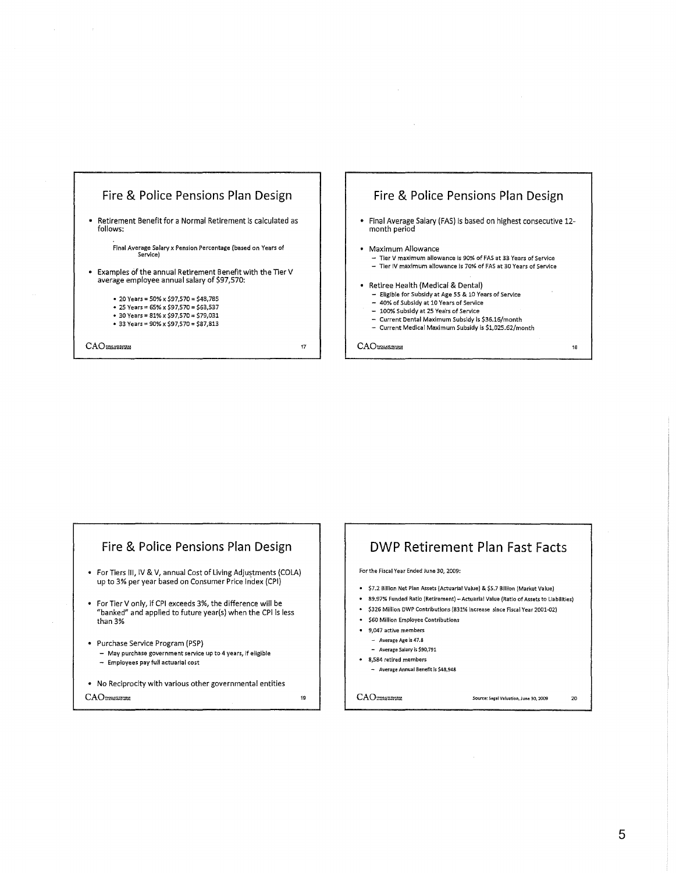





DWP Retirement Plan Fast Facts

- \$7.2 Billion Net Plan Assets (Actuarial Value) & \$5.7 Billion (Market Value)
- 89.97% Funded Ratio (Retirement)- Actuarial Value {Ratio of Assets to liabilities)
- \$326 Million DWP Contributions (831% Increase *since* Fiscal Year 2001-02)

Source: Segal Valuation, June 30, 2009 20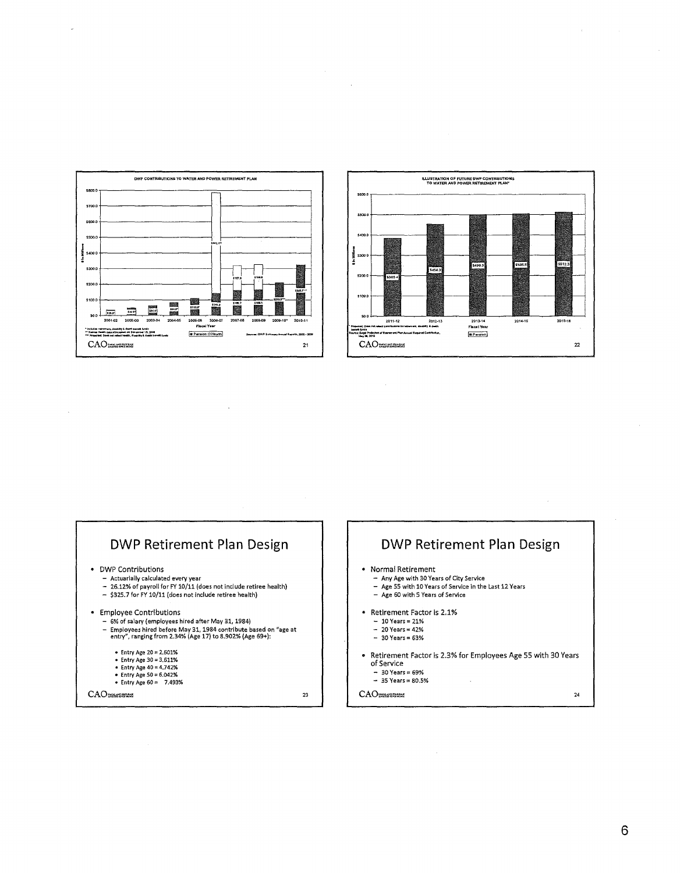



## **DWP Retirement Plan Design** • DWP Contributions - Monet constructions<br>- Actuarially calculated every year<br>- 26.12% of payroll for FY 10/11 (does not include retiree health) - \$325.7 for FY 10/11 (does not include retiree health) • Employee Contributions - 6% of salary (employees hired after May 31, 1984) ow or seary tempores minute are: may style based on "age at<br>- Employees hired before May 31, 1984 contribute based on "age at<br>entry", ranging from 2.34% (Age 17) to 8.902% (Age 69+): - Entry Age  $20 = 2.601\%$ • Entry Age 30 = 3.611%<br>• Entry Age 30 = 3.611%<br>• Entry Age 40 = 4.742%<br>• Entry Age 60 = 7.493%  $23$

CAO

**DWP Retirement Plan Design** 

 $24$ 



- 
- Norman Netherlient<br>- Any Age with 30 Years of City Service<br>- Age 55 with 10 Years of Service in the Last 12 Years
- Age 60 with 5 Years of Service
- Retirement Factor is 2.1%
	- $-10$  Years = 21%
	- $-20$  Years = 42%
	- $-30$  Years = 63%
- Retirement Factor is 2.3% for Employees Age 55 with 30 Years of Service
	- $30 \text{ Years} = 69\%$ <br> $35 \text{ Years} = 80.5\%$

 $CAO$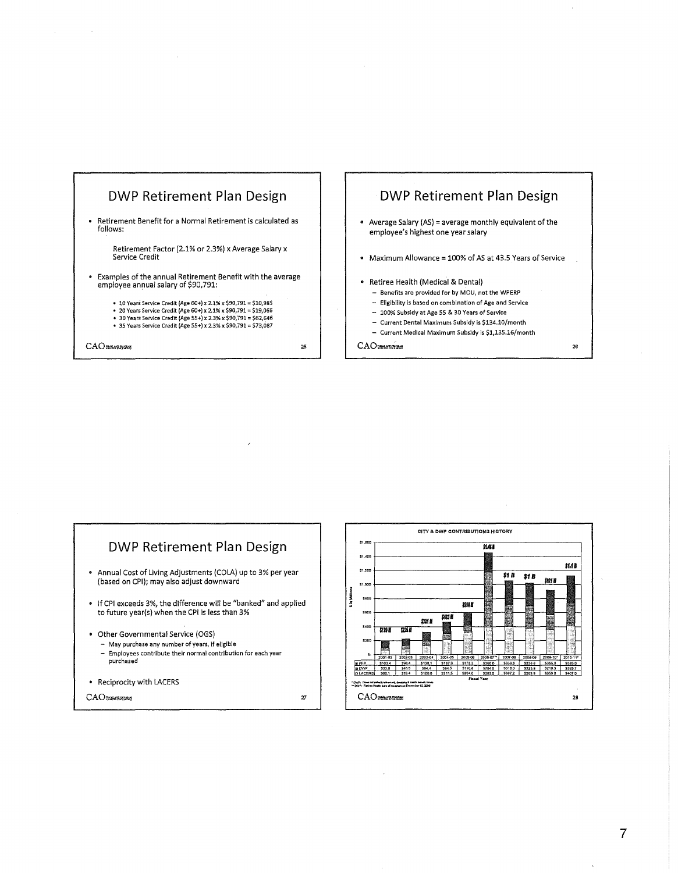







CAO

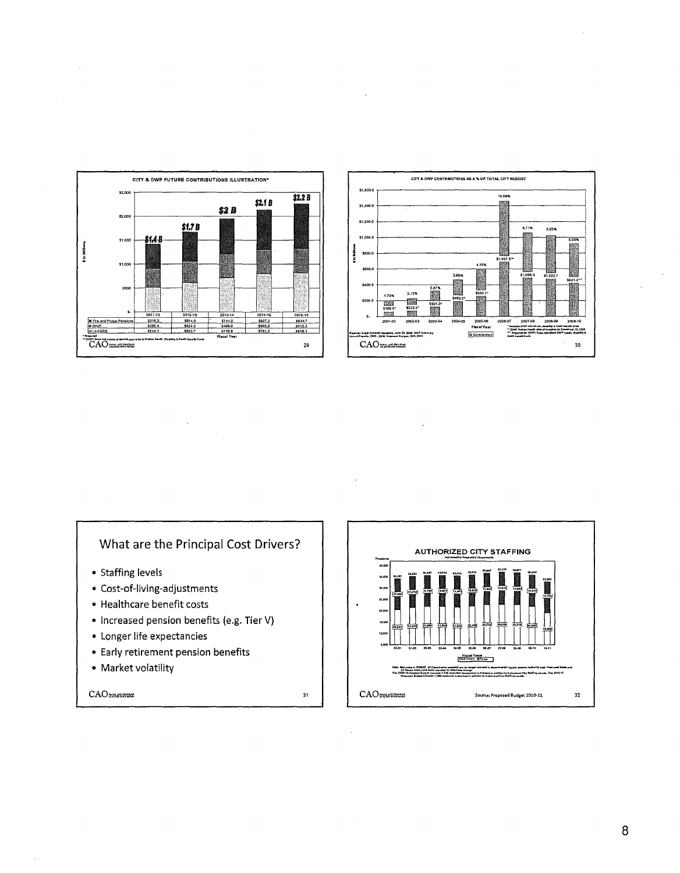



## What are the Principal Cost Drivers?

- · Staffing levels
- Cost-of-living-adjustments
- Healthcare benefit costs
- Increased pension benefits (e.g. Tier V)
- · Longer life expectancies
- Early retirement pension benefits
- Market volatility

 $CAO$  reserves

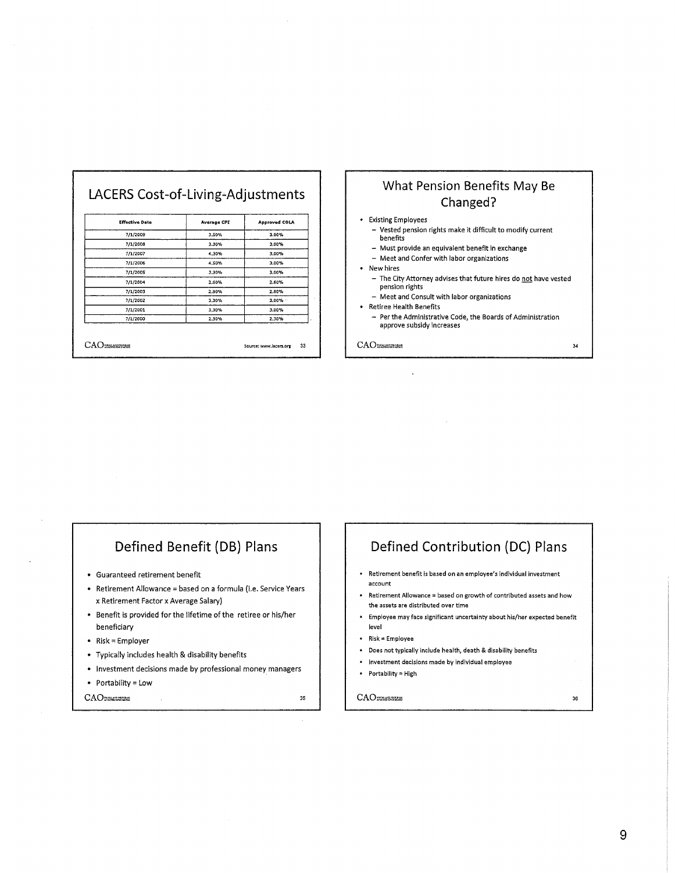| <b>Effective Date</b> | <b>Average CPI</b> | <b>Approved COLA</b> |
|-----------------------|--------------------|----------------------|
| 7/1/2009              | 3.50%              | 3.00%                |
| 7/1/2008              | 3.30%              | 3.00%                |
| 7/1/2007              | 4.30%              | 3.00%                |
| 7/1/2006              | 4.50%              | 3.00%                |
| 7/1/2005              | 3.30%              | 3.00%                |
| 7/1/2004              | 2.60%              | 2.60%                |
| 7/1/2003              | 2.80%              | 2.80%                |
| 7/1/2002              | 3.30%              | $3.00\%$             |
| 7/1/2001              | 3.30%              | 3.00%                |
| 7/1/2000              | 2.30%              | 2.30%                |

## **What Pension Benefits May Be Changed?**

#### • Existing Employees

- Vested pension rights make it difficult to modify current benefits
- Must provide an equivalent benefit in exchange
- Meet and Confer with labor organizations
- New hires
- The City Attorney advises that future hires do not have vested pension rights
- Meet and Consult with labor organizations
- Retiree Health Benefits
	- $-$  Per the Administrative Code, the Boards of Administration approve subsidy increases

34

CAO

## **Defined Benefit (DB) Plans**

- Guaranteed retirement benefit
- Retirement Allowance = based on a formula (i.e. Service Years x Retirement Factor x Average Salary)
- Benefit is provided forthe lifetime of the retiree or his/her beneficiary
- Risk= Employer
- Typically includes health & disability benefits
- Investment decisions made by professional money managers
- Portability= Low

CAO

**Retirement benefit Is based on an employee's individual investment account** 

**Defined Contribution (DC) Plans** 

- **Retirement Allowance = based on growth of contributed assets and how the assets are distributed over time**
- **Employee may face significant uncertainty about his/her expected benefit**  level
- Risk= Employee
- Does not typically include health, death & disability benefits
- **Investment decisions made by individual employee**
- Portability= High

#### CAO

35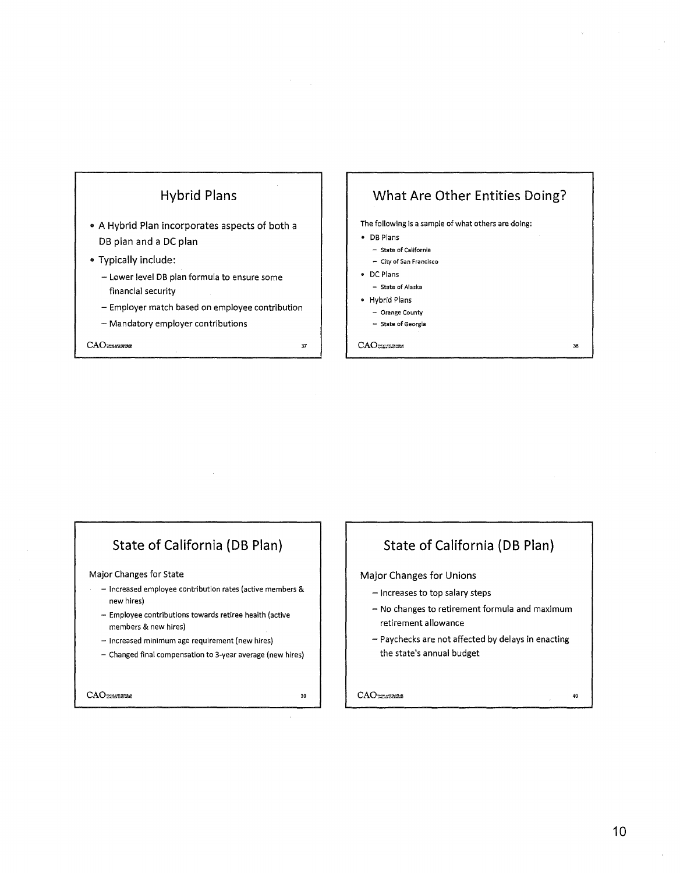

## **State of California (DB Plan)**

#### Major Changes for State

- Increased employee contribution rates (active members & new hires)
- Employee contributions towards retiree health (active members & new hires)
- Increased minimum age requirement (new hires)
- Changed final compensation to 3-year average (new hires)

CAOTHERSHI

39

## **State of California (DB Plan)**

#### Major Changes for Unions

- Increases to top salary steps
- No changes to retirement formula and maximum retirement allowance
- Paychecks are not affected by delays in enacting the state's annual budget

CAO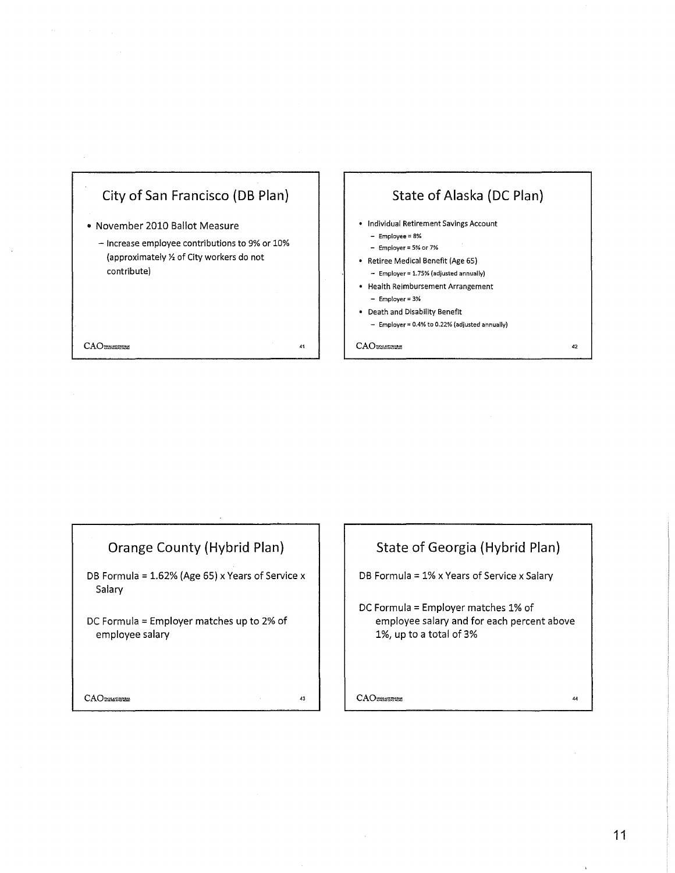



## **Orange County (Hybrid Plan)**

DB Formula = 1.62% (Age 65) x Years of Service x Salary

DC Formula = Employer matches up to 2% of employee salary

CAO

43

## **State of Georgia (Hybrid Plan)**

DB Formula= 1% x Years of Service x Salary

DC Formula= Employer matches 1% of employee salary and for each percent above 1%, up to a total of 3%

CAO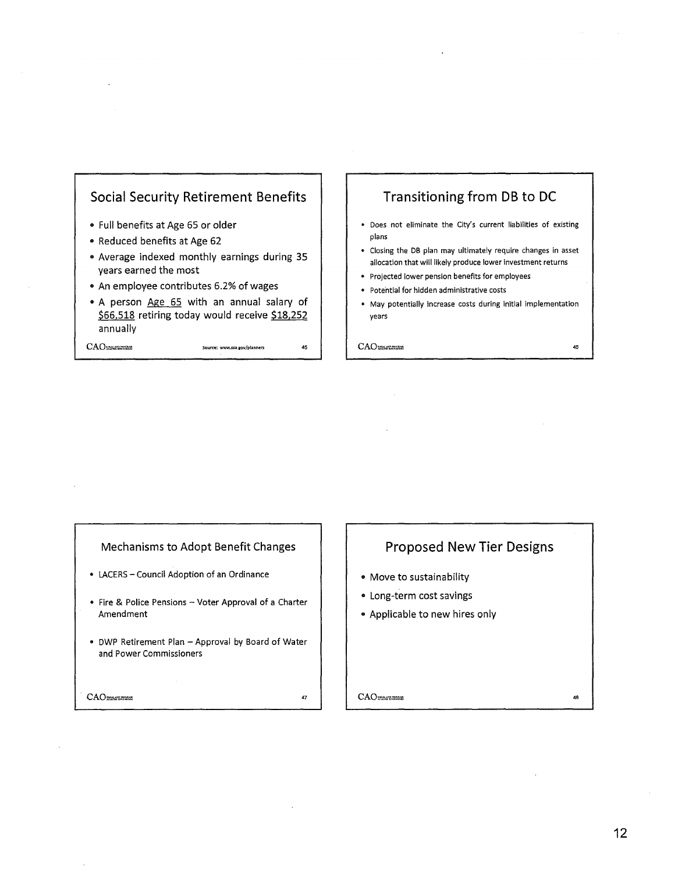

CAO~~ **Source: www.ssa.rov/planners** <sup>45</sup>

## **Transitioning from DB to DC**

- Does not eliminate the City's current liabilities of existing plans
- Closing the DB plan may ultimately require changes in asset allocation that will likely produce lower investment returns
- Projected lower pension benefits for employees
- Potential for hidden administrative costs
- May potentially increase costs during initial implementation years

CAO MARKETTESHI

#### Mechanisms to Adopt Benefit Changes

- LACERS- Council Adoption of an Ordinance
- Fire & Police Pensions Voter Approval of a Charter Amendment
- DWP Retirement Plan Approval by Board of Water and Power Commissioners

CAO

47

## **Proposed New Tier Designs**

- Move to sustainability
- Long-term cost savings
- Applicable to new hires only

**CAO** SEARCHE

48